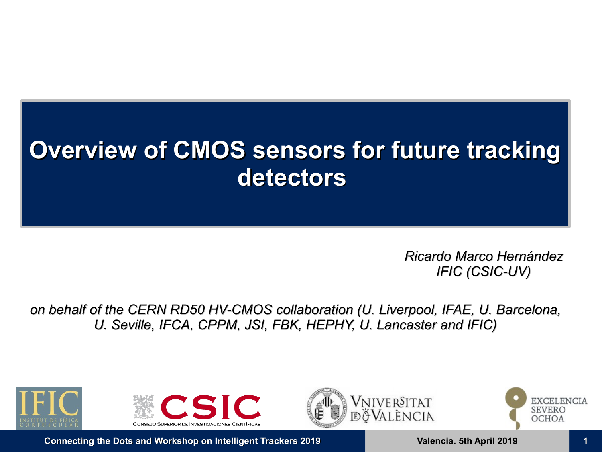# **Overview of CMOS sensors for future tracking detectors**

*Ricardo Marco Hernández IFIC (CSIC-UV)*

*on behalf of the CERN RD50 HV-CMOS collaboration (U. Liverpool, IFAE, U. Barcelona, U. Seville, IFCA, CPPM, JSI, FBK, HEPHY, U. Lancaster and IFIC)*





NIVERSITAT València



**Connecting the Dots and Workshop on Intelligent Trackers 2019 19 <b>11 11 12 11 13 11 13 11 13 11 13 11 11** 11 12019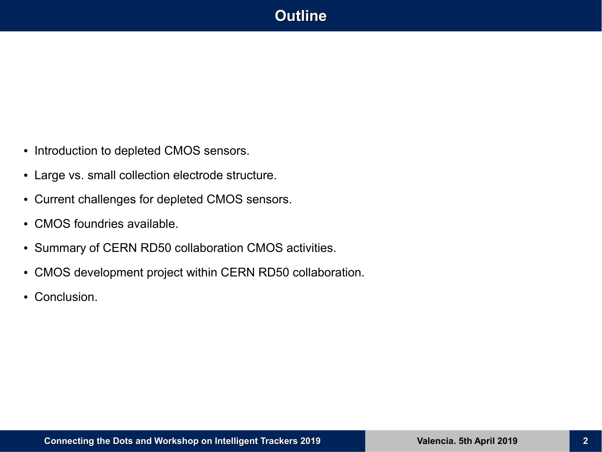## **Outline**

- Introduction to depleted CMOS sensors.
- Large vs. small collection electrode structure.
- Current challenges for depleted CMOS sensors.
- CMOS foundries available.
- Summary of CERN RD50 collaboration CMOS activities.
- CMOS development project within CERN RD50 collaboration.
- Conclusion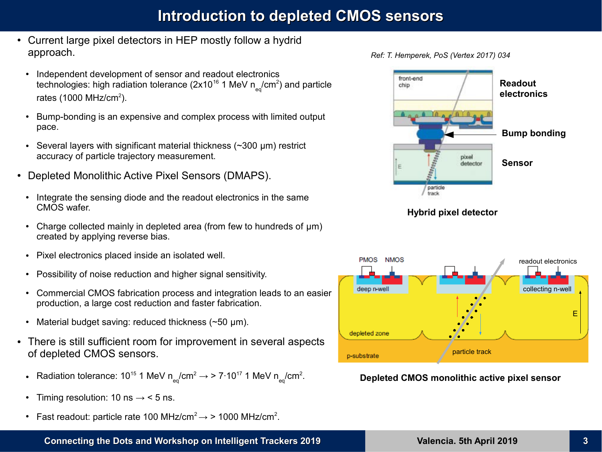### **Introduction to depleted CMOS sensors**

- Current large pixel detectors in HEP mostly follow a hydrid approach.
	- Independent development of sensor and readout electronics technologies: high radiation tolerance (2x10 $^{\rm 16}$  1 MeV n $_{\rm eq}$ /cm $^{\rm 2})$  and particle rates (1000 MHz/cm $^2$ ).
	- Bump-bonding is an expensive and complex process with limited output pace.
	- Several layers with significant material thickness  $(\sim]300 \text{ µm}$ ) restrict accuracy of particle trajectory measurement.
- Depleted Monolithic Active Pixel Sensors (DMAPS).
	- Integrate the sensing diode and the readout electronics in the same CMOS wafer.
	- Charge collected mainly in depleted area (from few to hundreds of  $\mu$ m) created by applying reverse bias.
	- Pixel electronics placed inside an isolated well.
	- Possibility of noise reduction and higher signal sensitivity.
	- Commercial CMOS fabrication process and integration leads to an easier production, a large cost reduction and faster fabrication.
	- Material budget saving: reduced thickness  $(\sim 50 \text{ }\mu\text{m})$ .
- There is still sufficient room for improvement in several aspects of depleted CMOS sensors.
	- Radiation tolerance: 10<sup>15</sup> 1 MeV n<sub>eq</sub>/cm<sup>2</sup> → > 7·10<sup>17</sup> 1 MeV n<sub>eq</sub>/cm<sup>2</sup>.
	- Timing resolution: 10 ns  $\rightarrow$  < 5 ns.
	- Fast readout: particle rate 100 MHz/cm<sup>2</sup> $\rightarrow$  > 1000 MHz/cm<sup>2</sup>.









*Ref: T. Hemperek, PoS (Vertex 2017) 034*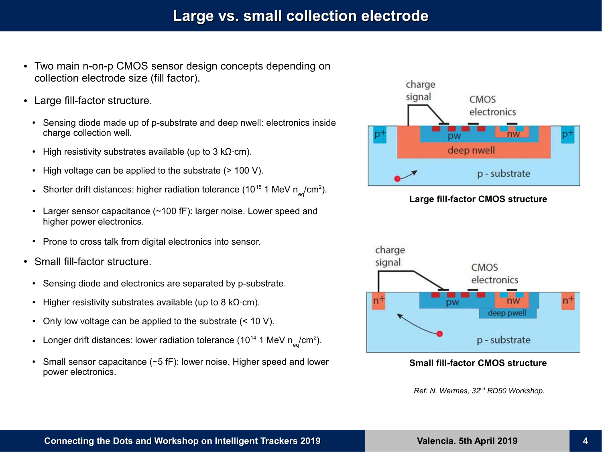### **Large vs. small collection electrode**

- Two main n-on-p CMOS sensor design concepts depending on collection electrode size (fill factor).
- Large fill-factor structure.
	- Sensing diode made up of p-substrate and deep nwell: electronics inside charge collection well.
	- High resistivity substrates available (up to 3 kΩ⋅cm).
	- High voltage can be applied to the substrate  $(> 100 V)$ .
	- Shorter drift distances: higher radiation tolerance (10 $^{15}$  1 MeV n $_{\textrm{\tiny eq}}$ /cm $^{2}$ ).
	- Larger sensor capacitance (~100 fF): larger noise. Lower speed and higher power electronics.
	- Prone to cross talk from digital electronics into sensor.
- Small fill-factor structure.
	- Sensing diode and electronics are separated by p-substrate.
	- Higher resistivity substrates available (up to 8 kΩ⋅cm).
	- Only low voltage can be applied to the substrate  $(< 10 V)$ .
	- Longer drift distances: lower radiation tolerance (10 $^{\text{14}}$  1 MeV n<sub>eq</sub>/cm $^{\text{2}}$ ).
	- Small sensor capacitance  $(\sim 5$  fF): lower noise. Higher speed and lower power electronics.



#### **Large fill-factor CMOS structure**



#### **Small fill-factor CMOS structure**

*Ref: N. Wermes, 32nd RD50 Workshop.*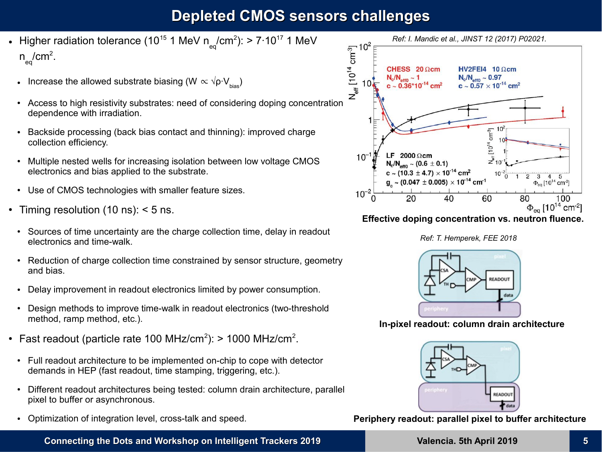## **Depleted CMOS sensors challenges**

- $\bullet~$  Higher radiation tolerance (10 $^{15}$  1 MeV n<sub>eq</sub>/cm $^{2})$ : > 7·10 $^{17}$  1 MeV  $n_{\text{eq}}^{\text{}}$ /cm $^{2}$ . Higher radiation tolerance (10<sup>19</sup> 1 MeV n<sub>eq</sub>/cm<sup>2</sup>): > /·1011 1 MeV<br>  $\frac{1}{\epsilon_{\text{eq}}}$ /cm<sup>2</sup>.<br>
Increase the allowed substrate biasing (W  $\propto \sqrt{\rho} \cdot V_{\text{bias}}$ )<br>
Access to high resistivity substrates: need of considering dop
	- Increase the allowed substrate biasing (W  $\propto \sqrt{\rho} \cdot V_{\text{bias}}$ )
	- dependence with irradiation.
	- Backside processing (back bias contact and thinning): improved charge collection efficiency.
	- Multiple nested wells for increasing isolation between low voltage CMOS electronics and bias applied to the substrate.
	- Use of CMOS technologies with smaller feature sizes.
- Timing resolution (10 ns):  $<$  5 ns.
- Sources of time uncertainty are the charge collection time, delay in readout electronics and time-walk.
- Reduction of charge collection time constrained by sensor structure, geometry and bias.
- Delay improvement in readout electronics limited by power consumption.
- Design methods to improve time-walk in readout electronics (two-threshold method, ramp method, etc.).
- Fast readout (particle rate 100 MHz/cm<sup>2</sup>): > 1000 MHz/cm<sup>2</sup>.
	- Full readout architecture to be implemented on-chip to cope with detector demands in HEP (fast readout, time stamping, triggering, etc.).
	- Different readout architectures being tested: column drain architecture, parallel pixel to buffer or asynchronous.
	- Optimization of integration level, cross-talk and speed.



#### **Effective doping concentration vs. neutron fluence.**





**In-pixel readout: column drain architecture**



**Periphery readout: parallel pixel to buffer architecture**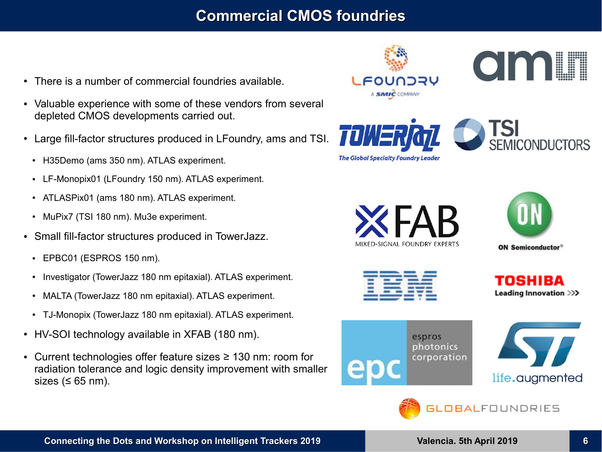## **Commercial CMOS foundries**

- There is a number of commercial foundries available.
- Valuable experience with some of these vendors from several depleted CMOS developments carried out.
- Large fill-factor structures produced in LFoundry, ams and TSI.
	- H35Demo (ams 350 nm). ATLAS experiment.
	- LF-Monopix01 (LFoundry 150 nm). ATLAS experiment.
	- ATLASPix01 (ams 180 nm). ATLAS experiment.
	- MuPix7 (TSI 180 nm). Mu3e experiment.
- Small fill-factor structures produced in TowerJazz.
	- $\cdot$  EPBC01 (ESPROS 150 nm).
	- Investigator (TowerJazz 180 nm epitaxial). ATLAS experiment.
	- MALTA (TowerJazz 180 nm epitaxial). ATLAS experiment.
	- TJ-Monopix (TowerJazz 180 nm epitaxial). ATLAS experiment.
- HV-SOI technology available in XFAB (180 nm).
- Current technologies offer feature sizes  $\geq 130$  nm: room for radiation tolerance and logic density improvement with smaller sizes ( $\leq 65$  nm).



**The Global Specialty Foundry Leader** 

TOW



am





| __                                          |                                      | ___     |  |                                                                                                                                     |
|---------------------------------------------|--------------------------------------|---------|--|-------------------------------------------------------------------------------------------------------------------------------------|
| <u> Samos Marcos Annis (Inches Marcos I</u> | ____<br><b>CONTRACTOR CONTRACTOR</b> |         |  |                                                                                                                                     |
|                                             | _____<br>------                      |         |  |                                                                                                                                     |
|                                             | _____                                | _______ |  | <b><i><u>Property of the Community of the Community of the Community of the Community of the Community of the Community</u></i></b> |

TOSHIRA Leading Innovation >>>







**GLOBALFOUNDRIES**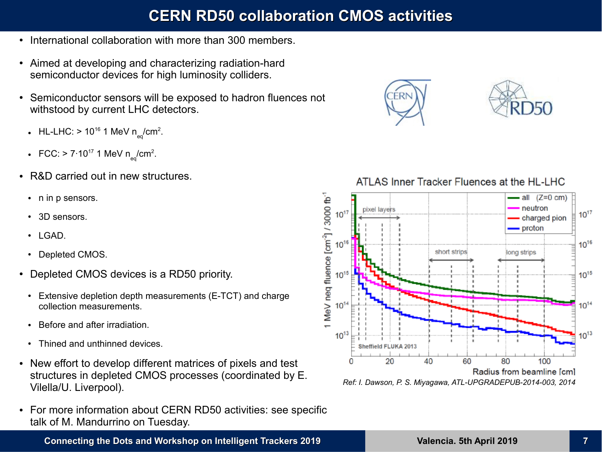## **CERN RD50 collaboration CMOS activities**

- International collaboration with more than 300 members.
- Aimed at developing and characterizing radiation-hard semiconductor devices for high luminosity colliders.
- Semiconductor sensors will be exposed to hadron fluences not withstood by current LHC detectors.
	- HL-LHC: > 10<sup>16</sup> 1 MeV n<sub>eq</sub>/cm<sup>2</sup>.
	- FCC: > 7·10<sup>17</sup> 1 MeV n<sub>eq</sub>/cm<sup>2</sup>.
- R&D carried out in new structures.
	- n in p sensors.
	- 3D sensors.
	- $\cdot$  LGAD.
	- Depleted CMOS.
- Depleted CMOS devices is a RD50 priority.
	- Extensive depletion depth measurements (E-TCT) and charge collection measurements.
	- Before and after irradiation.
	- Thined and unthinned devices.
- New effort to develop different matrices of pixels and test structures in depleted CMOS processes (coordinated by E. Vilella/U. Liverpool).
- For more information about CERN RD50 activities: see specific talk of M. Mandurrino on Tuesday.



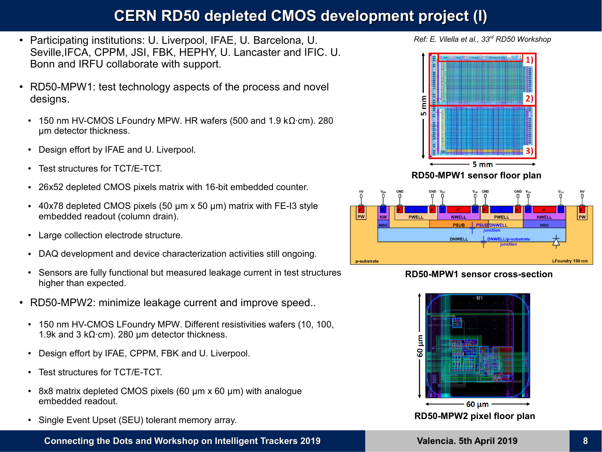## **CERN RD50 depleted CMOS development project (I)**

- Participating institutions: U. Liverpool, IFAE, U. Barcelona, U. Seville,IFCA, CPPM, JSI, FBK, HEPHY, U. Lancaster and IFIC. U. Bonn and IRFU collaborate with support.
- RD50-MPW1: test technology aspects of the process and novel designs.
	- 150 nm HV-CMOS LFoundry MPW. HR wafers (500 and 1.9 kΩ∙cm). 280 μm detector thickness.
	- Design effort by IFAE and U. Liverpool.
	- Test structures for TCT/E-TCT.
	- 26x52 depleted CMOS pixels matrix with 16-bit embedded counter.
	- $\cdot$  40x78 depleted CMOS pixels (50 µm x 50 µm) matrix with FE-I3 style embedded readout (column drain).
	- Large collection electrode structure.
	- DAQ development and device characterization activities still ongoing.
	- Sensors are fully functional but measured leakage current in test structures higher than expected.
- RD50-MPW2: minimize leakage current and improve speed..
	- 150 nm HV-CMOS LFoundry MPW. Different resistivities wafers (10, 100, 1.9k and 3 kΩ⋅cm). 280 μm detector thickness.
	- Design effort by IFAE, CPPM, FBK and U. Liverpool.
	- Test structures for TCT/E-TCT.
	- $\cdot$  8x8 matrix depleted CMOS pixels (60 µm x 60 µm) with analogue embedded readout.
	- Single Event Upset (SEU) tolerant memory array.

**Connecting the Dots and Workshop on Intelligent Trackers 2019 Valencia. 5th April 2019 8**







#### **RD50-MPW1 sensor cross-section**

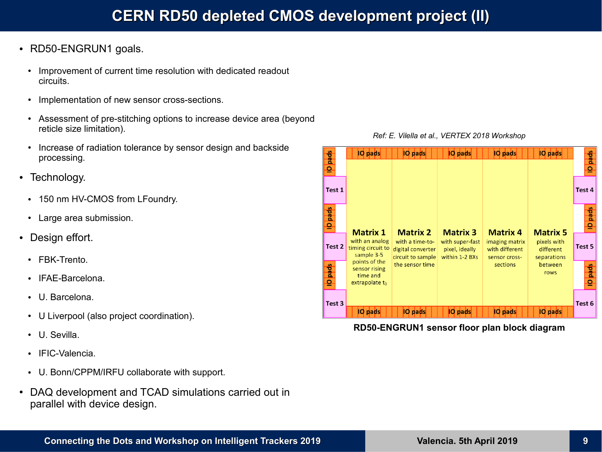- RD50-ENGRUN1 goals.
	- Improvement of current time resolution with dedicated readout circuits.
	- Implementation of new sensor cross-sections.
	- Assessment of pre-stitching options to increase device area (beyond reticle size limitation).
	- Increase of radiation tolerance by sensor design and backside processing.
- Technology.
	- 150 nm HV-CMOS from LFoundry.
	- Large area submission.
- Design effort.
	- FBK-Trento.
	- IFAE-Barcelona.
	- U. Barcelona.
	- U Liverpool (also project coordination).
	- U. Sevilla
	- IFIC-Valencia
	- U. Bonn/CPPM/IRFU collaborate with support.
- DAQ development and TCAD simulations carried out in parallel with device design.



**RD50-ENGRUN1 sensor floor plan block diagram**

#### *Ref: E. Vilella et al., VERTEX 2018 Workshop*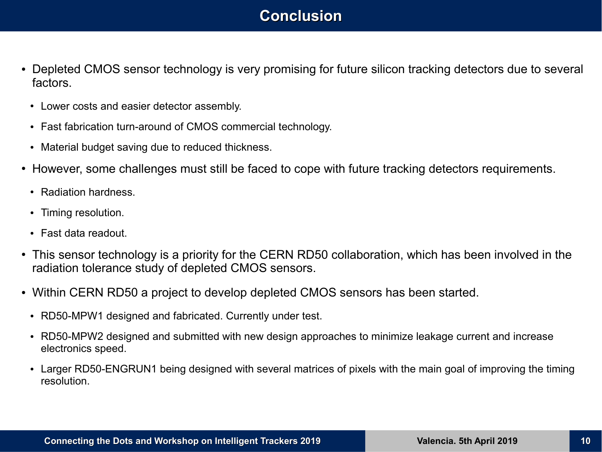## **Conclusion**

- Depleted CMOS sensor technology is very promising for future silicon tracking detectors due to several factors.
	- Lower costs and easier detector assembly.
	- Fast fabrication turn-around of CMOS commercial technology.
	- Material budget saving due to reduced thickness.
- However, some challenges must still be faced to cope with future tracking detectors requirements.
	- Radiation hardness
	- Timing resolution.
	- Fast data readout.
- This sensor technology is a priority for the CERN RD50 collaboration, which has been involved in the radiation tolerance study of depleted CMOS sensors.
- Within CERN RD50 a project to develop depleted CMOS sensors has been started.
	- RD50-MPW1 designed and fabricated. Currently under test.
	- RD50-MPW2 designed and submitted with new design approaches to minimize leakage current and increase electronics speed.
	- Larger RD50-ENGRUN1 being designed with several matrices of pixels with the main goal of improving the timing resolution.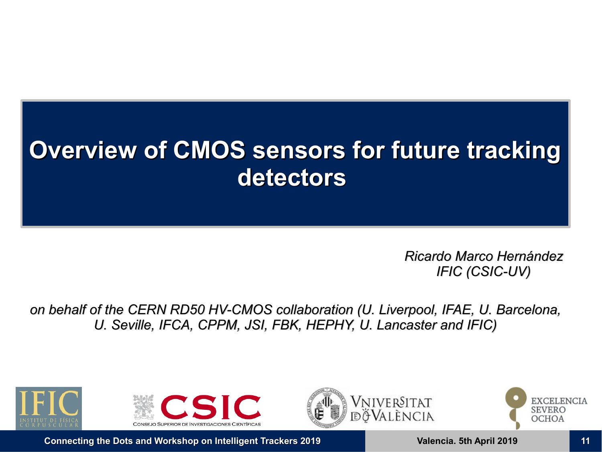# **Overview of CMOS sensors for future tracking detectors**

*Ricardo Marco Hernández IFIC (CSIC-UV)*

*on behalf of the CERN RD50 HV-CMOS collaboration (U. Liverpool, IFAE, U. Barcelona, U. Seville, IFCA, CPPM, JSI, FBK, HEPHY, U. Lancaster and IFIC)*





NIVERSITAT álència

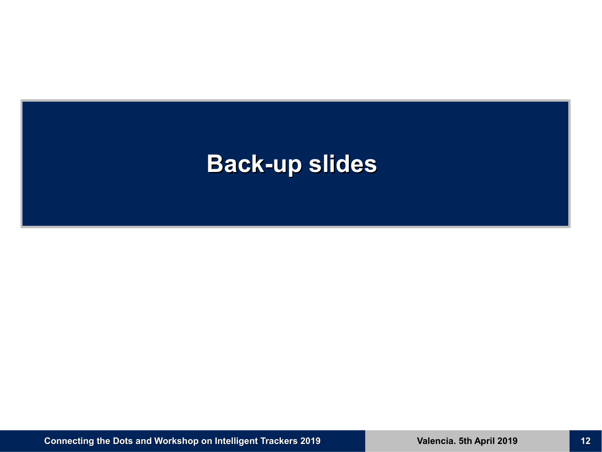## **Back-up slides**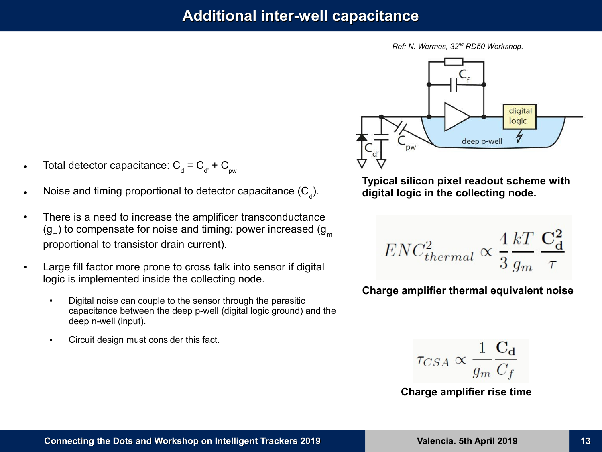#### **Additional inter-well capacitance**

*Ref: N. Wermes, 32nd RD50 Workshop.*



- $\quad$  Total detector capacitance: C  $_{\textrm{d}}$  = C  $_{\textrm{d}}$  + C  $_{\textrm{pw}}$
- Noise and timing proportional to detector capacitance (C $_{\rm d}$ ).
- There is a need to increase the amplificer transconductance (g<sub>m</sub>) to compensate for noise and timing: power increased (g<sub>m</sub> proportional to transistor drain current).
- Large fill factor more prone to cross talk into sensor if digital logic is implemented inside the collecting node.
	- Digital noise can couple to the sensor through the parasitic capacitance between the deep p-well (digital logic ground) and the deep n-well (input).
	- Circuit design must consider this fact.

**Typical silicon pixel readout scheme with digital logic in the collecting node.**

$$
ENC_{thermal}^2 \propto \frac{4}{3}\frac{kT}{g_m}\frac{{\bf C_d^2}}{\tau}
$$

**Charge amplifier thermal equivalent noise**

$$
\tau_{CSA} \propto \frac{1}{g_m} \frac{\mathbf{C_d}}{C_f}
$$

**Charge amplifier rise time**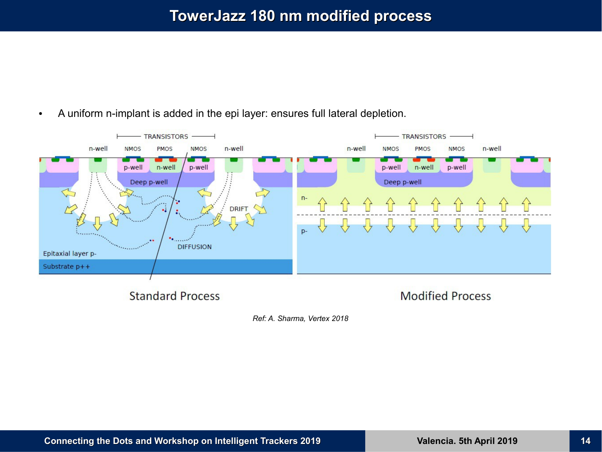### **TowerJazz 180 nm modified process**



• A uniform n-implant is added in the epi layer: ensures full lateral depletion.

*Ref: A. Sharma, Vertex 2018*